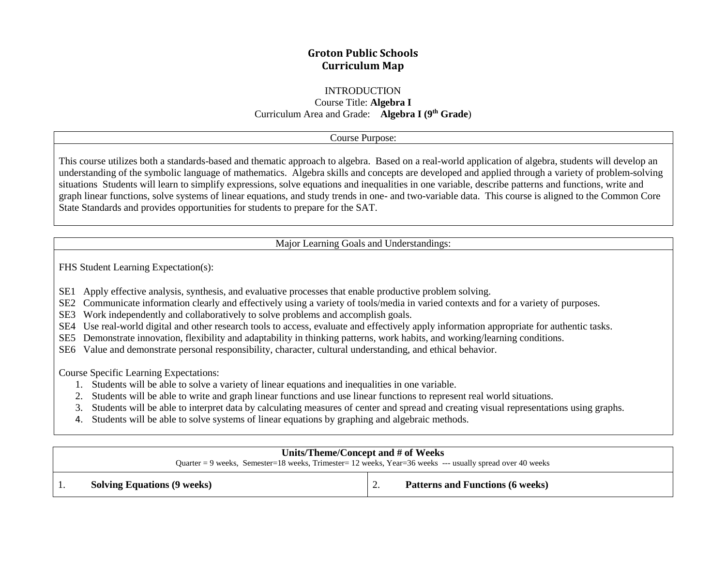# **Groton Public Schools Curriculum Map**

#### INTRODUCTION

Course Title: **Algebra I** Curriculum Area and Grade: **Algebra I (9th Grade**)

#### Course Purpose:

This course utilizes both a standards-based and thematic approach to algebra. Based on a real-world application of algebra, students will develop an understanding of the symbolic language of mathematics. Algebra skills and concepts are developed and applied through a variety of problem-solving situations Students will learn to simplify expressions, solve equations and inequalities in one variable, describe patterns and functions, write and graph linear functions, solve systems of linear equations, and study trends in one- and two-variable data. This course is aligned to the Common Core State Standards and provides opportunities for students to prepare for the SAT.

Major Learning Goals and Understandings:

FHS Student Learning Expectation(s):

- SE1 SE1 Apply effective analysis, synthesis, and evaluative processes that enable productive problem solving.
- SE2 SE2 Communicate information clearly and effectively using a variety of tools/media in varied contexts and for a variety of purposes.
- SE3 Work independently and collaboratively to solve problems and accomplish goals.
- SE4 SE4 Use real-world digital and other research tools to access, evaluate and effectively apply information appropriate for authentic tasks.
- SE5 SE5 Demonstrate innovation, flexibility and adaptability in thinking patterns, work habits, and working/learning conditions.
- SE6 Value and demonstrate personal responsibility, character, cultural understanding, and ethical behavior.

Course Specific Learning Expectations:

- 1. Students will be able to solve a variety of linear equations and inequalities in one variable.
- 2. Students will be able to write and graph linear functions and use linear functions to represent real world situations.
- 3. Students will be able to interpret data by calculating measures of center and spread and creating visual representations using graphs.
- 4. Students will be able to solve systems of linear equations by graphing and algebraic methods.

| Units/Theme/Concept and # of Weeks<br>Quarter = 9 weeks, Semester=18 weeks, Trimester= 12 weeks, Year=36 weeks --- usually spread over 40 weeks |                                    |          |                                         |  |
|-------------------------------------------------------------------------------------------------------------------------------------------------|------------------------------------|----------|-----------------------------------------|--|
|                                                                                                                                                 | <b>Solving Equations (9 weeks)</b> | <u>.</u> | <b>Patterns and Functions (6 weeks)</b> |  |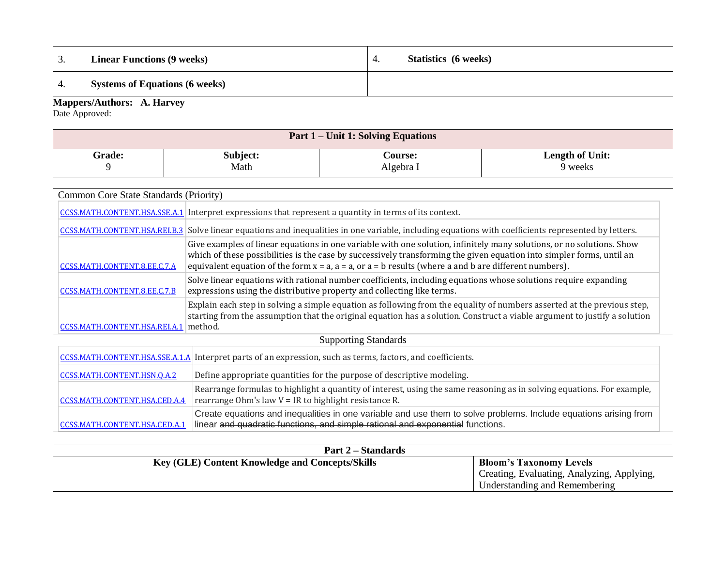| . ب          | <b>Linear Functions (9 weeks)</b>     | 4. | <b>Statistics</b> (6 weeks) |
|--------------|---------------------------------------|----|-----------------------------|
|              | <b>Systems of Equations (6 weeks)</b> |    |                             |
| $\mathbf{r}$ | $\mathbf{v}$<br>$\mathbf{A}$          |    |                             |

**Mappers/Authors: A. Harvey**

Date Approved:

| Part 1 – Unit 1: Solving Equations |          |                |                        |  |
|------------------------------------|----------|----------------|------------------------|--|
| <b>Grade:</b>                      | Subject: | <b>Course:</b> | <b>Length of Unit:</b> |  |
|                                    | Math     | Algebra I      | 9 weeks                |  |

|                                       | Common Core State Standards (Priority)                                                                                                                                                                                                                                                                                                                          |  |  |  |  |  |
|---------------------------------------|-----------------------------------------------------------------------------------------------------------------------------------------------------------------------------------------------------------------------------------------------------------------------------------------------------------------------------------------------------------------|--|--|--|--|--|
|                                       | CCSS.MATH.CONTENT.HSA.SSE.A.1 Interpret expressions that represent a quantity in terms of its context.                                                                                                                                                                                                                                                          |  |  |  |  |  |
|                                       | CCSS.MATH.CONTENT.HSA.RELB.3 Solve linear equations and inequalities in one variable, including equations with coefficients represented by letters.                                                                                                                                                                                                             |  |  |  |  |  |
| CCSS.MATH.CONTENT.8.EE.C.7.A          | Give examples of linear equations in one variable with one solution, infinitely many solutions, or no solutions. Show<br>which of these possibilities is the case by successively transforming the given equation into simpler forms, until an<br>equivalent equation of the form $x = a$ , $a = a$ , or $a = b$ results (where a and b are different numbers). |  |  |  |  |  |
| CCSS.MATH.CONTENT.8.EE.C.7.B          | Solve linear equations with rational number coefficients, including equations whose solutions require expanding<br>expressions using the distributive property and collecting like terms.                                                                                                                                                                       |  |  |  |  |  |
| CCSS.MATH.CONTENT.HSA.REI.A.1 method. | Explain each step in solving a simple equation as following from the equality of numbers asserted at the previous step,<br>starting from the assumption that the original equation has a solution. Construct a viable argument to justify a solution                                                                                                            |  |  |  |  |  |
| <b>Supporting Standards</b>           |                                                                                                                                                                                                                                                                                                                                                                 |  |  |  |  |  |
|                                       | CCSS.MATH.CONTENT.HSA.SSE.A.1.A Interpret parts of an expression, such as terms, factors, and coefficients.                                                                                                                                                                                                                                                     |  |  |  |  |  |
| CCSS.MATH.CONTENT.HSN.Q.A.2           | Define appropriate quantities for the purpose of descriptive modeling.                                                                                                                                                                                                                                                                                          |  |  |  |  |  |
| CCSS.MATH.CONTENT.HSA.CED.A.4         | Rearrange formulas to highlight a quantity of interest, using the same reasoning as in solving equations. For example,<br>rearrange Ohm's law $V = IR$ to highlight resistance R.                                                                                                                                                                               |  |  |  |  |  |
| CCSS.MATH.CONTENT.HSA.CED.A.1         | Create equations and inequalities in one variable and use them to solve problems. Include equations arising from<br>linear and quadratic functions, and simple rational and exponential functions.                                                                                                                                                              |  |  |  |  |  |

| <b>Part 2 – Standards</b>                              |                                            |
|--------------------------------------------------------|--------------------------------------------|
| <b>Key (GLE) Content Knowledge and Concepts/Skills</b> | <b>Bloom's Taxonomy Levels</b>             |
|                                                        | Creating, Evaluating, Analyzing, Applying, |
|                                                        | Understanding and Remembering              |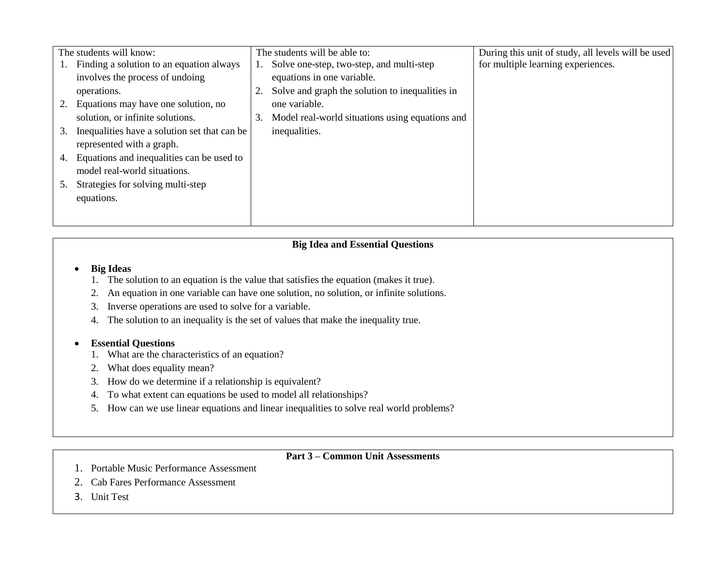|    | The students will know:                      |    | The students will be able to:                   | During this unit of study, all levels will be used |
|----|----------------------------------------------|----|-------------------------------------------------|----------------------------------------------------|
|    | Finding a solution to an equation always     |    | Solve one-step, two-step, and multi-step        | for multiple learning experiences.                 |
|    | involves the process of undoing              |    | equations in one variable.                      |                                                    |
|    | operations.                                  |    | Solve and graph the solution to inequalities in |                                                    |
| 2. | Equations may have one solution, no          |    | one variable.                                   |                                                    |
|    | solution, or infinite solutions.             | 3. | Model real-world situations using equations and |                                                    |
| 3. | Inequalities have a solution set that can be |    | inequalities.                                   |                                                    |
|    | represented with a graph.                    |    |                                                 |                                                    |
| 4. | Equations and inequalities can be used to    |    |                                                 |                                                    |
|    | model real-world situations.                 |    |                                                 |                                                    |
|    | Strategies for solving multi-step            |    |                                                 |                                                    |
|    | equations.                                   |    |                                                 |                                                    |
|    |                                              |    |                                                 |                                                    |
|    |                                              |    |                                                 |                                                    |

#### **Big Ideas**

- 1. The solution to an equation is the value that satisfies the equation (makes it true).
- 2. An equation in one variable can have one solution, no solution, or infinite solutions.
- 3. Inverse operations are used to solve for a variable.
- 4. The solution to an inequality is the set of values that make the inequality true.

### **Essential Questions**

- 1. What are the characteristics of an equation?
- 2. What does equality mean?
- 3. How do we determine if a relationship is equivalent?
- 4. To what extent can equations be used to model all relationships?
- 5. How can we use linear equations and linear inequalities to solve real world problems?

# **Part 3 – Common Unit Assessments**

- 1. Portable Music Performance Assessment
- 2. Cab Fares Performance Assessment
- 3. Unit Test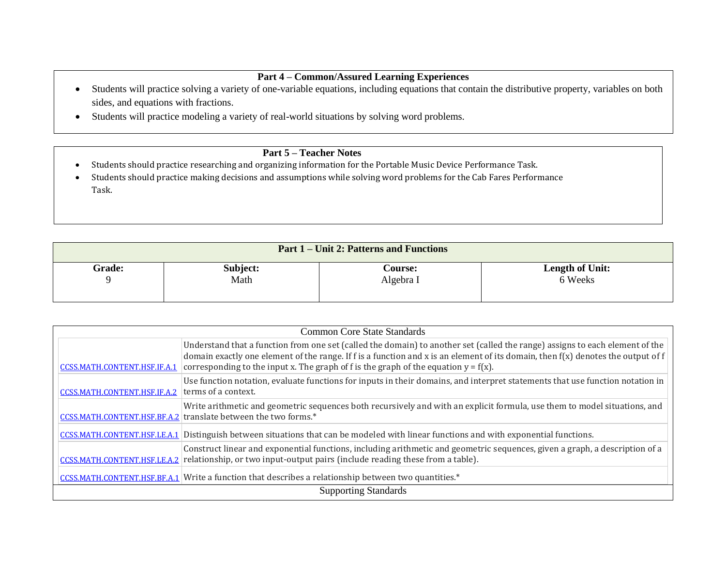## **Part 4 – Common/Assured Learning Experiences**

- Students will practice solving a variety of one-variable equations, including equations that contain the distributive property, variables on both sides, and equations with fractions.
- Students will practice modeling a variety of real-world situations by solving word problems.

- Students should practice researching and organizing information for the Portable Music Device Performance Task.
- Students should practice making decisions and assumptions while solving word problems for the Cab Fares Performance Task.

| <b>Part 1 – Unit 2: Patterns and Functions</b> |          |                |                 |  |  |
|------------------------------------------------|----------|----------------|-----------------|--|--|
| <b>Grade:</b>                                  | Subject: | <b>Course:</b> | Length of Unit: |  |  |
| u                                              | Math     | Algebra I      | 6 Weeks         |  |  |

| <b>Common Core State Standards</b> |                                                                                                                                                                                                                                                                                                                                                              |  |  |  |
|------------------------------------|--------------------------------------------------------------------------------------------------------------------------------------------------------------------------------------------------------------------------------------------------------------------------------------------------------------------------------------------------------------|--|--|--|
| CCSS.MATH.CONTENT.HSF.IF.A.1       | Understand that a function from one set (called the domain) to another set (called the range) assigns to each element of the<br>domain exactly one element of the range. If f is a function and x is an element of its domain, then $f(x)$ denotes the output of f<br>corresponding to the input x. The graph of f is the graph of the equation $y = f(x)$ . |  |  |  |
| CCSS.MATH.CONTENT.HSF.IF.A.2       | Use function notation, evaluate functions for inputs in their domains, and interpret statements that use function notation in<br>terms of a context.                                                                                                                                                                                                         |  |  |  |
|                                    | Write arithmetic and geometric sequences both recursively and with an explicit formula, use them to model situations, and<br>CCSS.MATH.CONTENT.HSF.BF.A.2 translate between the two forms.*                                                                                                                                                                  |  |  |  |
| CCSS.MATH.CONTENT.HSF.LE.A.1       | Distinguish between situations that can be modeled with linear functions and with exponential functions.                                                                                                                                                                                                                                                     |  |  |  |
|                                    | Construct linear and exponential functions, including arithmetic and geometric sequences, given a graph, a description of a<br>CCSS.MATH.CONTENT.HSF.LE.A.2 relationship, or two input-output pairs (include reading these from a table).                                                                                                                    |  |  |  |
|                                    | CCSS.MATH.CONTENT.HSF.BF.A.1 Write a function that describes a relationship between two quantities.*                                                                                                                                                                                                                                                         |  |  |  |
| <b>Supporting Standards</b>        |                                                                                                                                                                                                                                                                                                                                                              |  |  |  |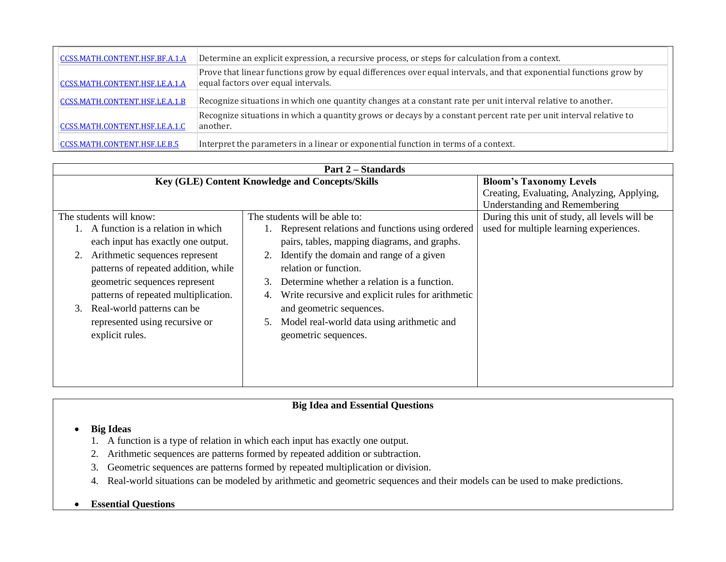| CCSS.MATH.CONTENT.HSF.BF.A.1.A | Determine an explicit expression, a recursive process, or steps for calculation from a context.                                                           |
|--------------------------------|-----------------------------------------------------------------------------------------------------------------------------------------------------------|
| CCSS.MATH.CONTENT.HSF.LE.A.1.A | Prove that linear functions grow by equal differences over equal intervals, and that exponential functions grow by<br>equal factors over equal intervals. |
| CCSS.MATH.CONTENT.HSF.LE.A.1.B | Recognize situations in which one quantity changes at a constant rate per unit interval relative to another.                                              |
| CCSS.MATH.CONTENT.HSF.LE.A.1.C | Recognize situations in which a quantity grows or decays by a constant percent rate per unit interval relative to<br>another.                             |
| CCSS.MATH.CONTENT.HSF.LE.B.5   | Interpret the parameters in a linear or exponential function in terms of a context.                                                                       |

| <b>Part 2 – Standards</b>                       |                                                         |                                               |  |  |  |
|-------------------------------------------------|---------------------------------------------------------|-----------------------------------------------|--|--|--|
| Key (GLE) Content Knowledge and Concepts/Skills | <b>Bloom's Taxonomy Levels</b>                          |                                               |  |  |  |
|                                                 |                                                         | Creating, Evaluating, Analyzing, Applying,    |  |  |  |
|                                                 |                                                         | <b>Understanding and Remembering</b>          |  |  |  |
| The students will know:                         | The students will be able to:                           | During this unit of study, all levels will be |  |  |  |
| A function is a relation in which               | 1. Represent relations and functions using ordered      | used for multiple learning experiences.       |  |  |  |
| each input has exactly one output.              | pairs, tables, mapping diagrams, and graphs.            |                                               |  |  |  |
| Arithmetic sequences represent                  | 2. Identify the domain and range of a given             |                                               |  |  |  |
| patterns of repeated addition, while            | relation or function.                                   |                                               |  |  |  |
| geometric sequences represent                   | Determine whether a relation is a function.<br>3.       |                                               |  |  |  |
| patterns of repeated multiplication.            | Write recursive and explicit rules for arithmetic<br>4. |                                               |  |  |  |
| Real-world patterns can be<br>3.                | and geometric sequences.                                |                                               |  |  |  |
| represented using recursive or                  | Model real-world data using arithmetic and<br>5.        |                                               |  |  |  |
| explicit rules.                                 | geometric sequences.                                    |                                               |  |  |  |
|                                                 |                                                         |                                               |  |  |  |
|                                                 |                                                         |                                               |  |  |  |
|                                                 |                                                         |                                               |  |  |  |
|                                                 |                                                         |                                               |  |  |  |

### **Big Ideas**

- 1. A function is a type of relation in which each input has exactly one output.
- 2. Arithmetic sequences are patterns formed by repeated addition or subtraction.
- 3. Geometric sequences are patterns formed by repeated multiplication or division.
- 4. Real-world situations can be modeled by arithmetic and geometric sequences and their models can be used to make predictions.

#### **Essential Questions**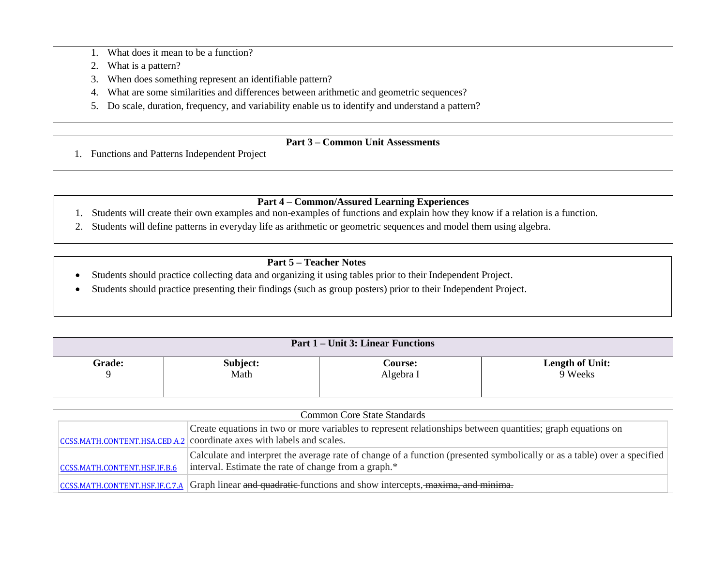- 1. What does it mean to be a function?
- 2. What is a pattern?
- 3. When does something represent an identifiable pattern?
- 4. What are some similarities and differences between arithmetic and geometric sequences?
- 5. Do scale, duration, frequency, and variability enable us to identify and understand a pattern?

# **Part 3 – Common Unit Assessments**

1. Functions and Patterns Independent Project

# **Part 4 – Common/Assured Learning Experiences**

- 1. Students will create their own examples and non-examples of functions and explain how they know if a relation is a function.
- 2. Students will define patterns in everyday life as arithmetic or geometric sequences and model them using algebra.

- Students should practice collecting data and organizing it using tables prior to their Independent Project.
- Students should practice presenting their findings (such as group posters) prior to their Independent Project.

| <b>Part 1 – Unit 3: Linear Functions</b> |          |                |                        |  |  |  |
|------------------------------------------|----------|----------------|------------------------|--|--|--|
| Grade:                                   | Subject: | <b>Course:</b> | <b>Length of Unit:</b> |  |  |  |
|                                          | Math     | Algebra I      | 9 Weeks                |  |  |  |

| <b>Common Core State Standards</b> |                                                                                                                                                                                      |  |  |  |  |
|------------------------------------|--------------------------------------------------------------------------------------------------------------------------------------------------------------------------------------|--|--|--|--|
|                                    | Create equations in two or more variables to represent relationships between quantities; graph equations on<br>CCSS.MATH.CONTENT.HSA.CED.A.2 coordinate axes with labels and scales. |  |  |  |  |
| CCSS.MATH.CONTENT.HSF.IF.B.6       | Calculate and interpret the average rate of change of a function (presented symbolically or as a table) over a specified<br>interval. Estimate the rate of change from a graph.*     |  |  |  |  |
|                                    | $CCSS MATH.$ CONTENT.HSF.IF.C.7.A Graph linear and quadratic-functions and show intercepts, $maxima$ , and minima-                                                                   |  |  |  |  |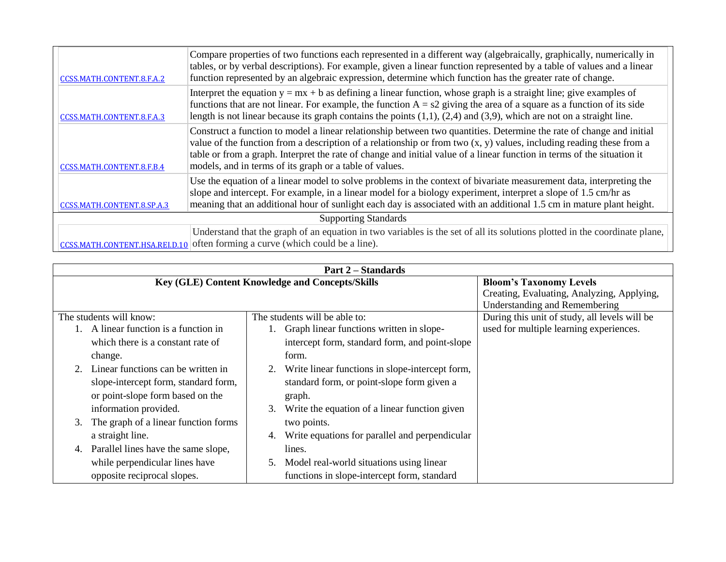| CCSS.MATH.CONTENT.8.F.A.2      | Compare properties of two functions each represented in a different way (algebraically, graphically, numerically in<br>tables, or by verbal descriptions). For example, given a linear function represented by a table of values and a linear<br>function represented by an algebraic expression, determine which function has the greater rate of change.                                                                           |  |  |
|--------------------------------|--------------------------------------------------------------------------------------------------------------------------------------------------------------------------------------------------------------------------------------------------------------------------------------------------------------------------------------------------------------------------------------------------------------------------------------|--|--|
| CCSS.MATH.CONTENT.8.F.A.3      | Interpret the equation $y = mx + b$ as defining a linear function, whose graph is a straight line; give examples of<br>functions that are not linear. For example, the function $A = s2$ giving the area of a square as a function of its side<br>length is not linear because its graph contains the points $(1,1)$ , $(2,4)$ and $(3,9)$ , which are not on a straight line.                                                       |  |  |
| CCSS.MATH.CONTENT.8.F.B.4      | Construct a function to model a linear relationship between two quantities. Determine the rate of change and initial<br>value of the function from a description of a relationship or from two $(x, y)$ values, including reading these from a<br>table or from a graph. Interpret the rate of change and initial value of a linear function in terms of the situation it<br>models, and in terms of its graph or a table of values. |  |  |
| CCSS.MATH.CONTENT.8.SP.A.3     | Use the equation of a linear model to solve problems in the context of bivariate measurement data, interpreting the<br>slope and intercept. For example, in a linear model for a biology experiment, interpret a slope of 1.5 cm/hr as<br>meaning that an additional hour of sunlight each day is associated with an additional 1.5 cm in mature plant height.                                                                       |  |  |
| <b>Supporting Standards</b>    |                                                                                                                                                                                                                                                                                                                                                                                                                                      |  |  |
| CCSS.MATH.CONTENT.HSA.REI.D.10 | Understand that the graph of an equation in two variables is the set of all its solutions plotted in the coordinate plane,<br>often forming a curve (which could be a line).                                                                                                                                                                                                                                                         |  |  |

| <b>Part 2 – Standards</b>                       |                                                       |                                               |  |
|-------------------------------------------------|-------------------------------------------------------|-----------------------------------------------|--|
| Key (GLE) Content Knowledge and Concepts/Skills | <b>Bloom's Taxonomy Levels</b>                        |                                               |  |
|                                                 |                                                       | Creating, Evaluating, Analyzing, Applying,    |  |
|                                                 |                                                       | <b>Understanding and Remembering</b>          |  |
| The students will know:                         | The students will be able to:                         | During this unit of study, all levels will be |  |
| A linear function is a function in              | Graph linear functions written in slope-              | used for multiple learning experiences.       |  |
| which there is a constant rate of               | intercept form, standard form, and point-slope        |                                               |  |
| change.                                         | form.                                                 |                                               |  |
| Linear functions can be written in              | Write linear functions in slope-intercept form,<br>2. |                                               |  |
| slope-intercept form, standard form,            | standard form, or point-slope form given a            |                                               |  |
| or point-slope form based on the                | graph.                                                |                                               |  |
| information provided.                           | Write the equation of a linear function given<br>3.   |                                               |  |
| The graph of a linear function forms<br>3.      | two points.                                           |                                               |  |
| a straight line.                                | Write equations for parallel and perpendicular<br>4.  |                                               |  |
| Parallel lines have the same slope,<br>4.       | lines.                                                |                                               |  |
| while perpendicular lines have                  | Model real-world situations using linear<br>5.        |                                               |  |
| opposite reciprocal slopes.                     | functions in slope-intercept form, standard           |                                               |  |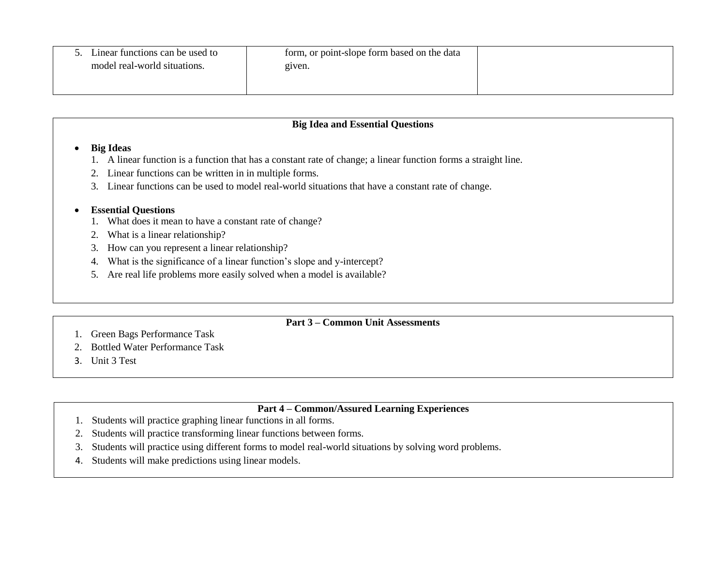| Linear functions can be used to<br>model real-world situations. | form, or point-slope form based on the data<br>given. |  |
|-----------------------------------------------------------------|-------------------------------------------------------|--|
|                                                                 |                                                       |  |

#### **Big Ideas**

- 1. A linear function is a function that has a constant rate of change; a linear function forms a straight line.
- 2. Linear functions can be written in in multiple forms.
- 3. Linear functions can be used to model real-world situations that have a constant rate of change.

### **Essential Questions**

- 1. What does it mean to have a constant rate of change?
- 2. What is a linear relationship?
- 3. How can you represent a linear relationship?
- 4. What is the significance of a linear function's slope and y-intercept?
- 5. Are real life problems more easily solved when a model is available?

### **Part 3 – Common Unit Assessments**

- 1. Green Bags Performance Task
- 2. Bottled Water Performance Task
- 3. Unit 3 Test

## **Part 4 – Common/Assured Learning Experiences**

- 1. Students will practice graphing linear functions in all forms.
- 2. Students will practice transforming linear functions between forms.
- 3. Students will practice using different forms to model real-world situations by solving word problems.
- 4. Students will make predictions using linear models.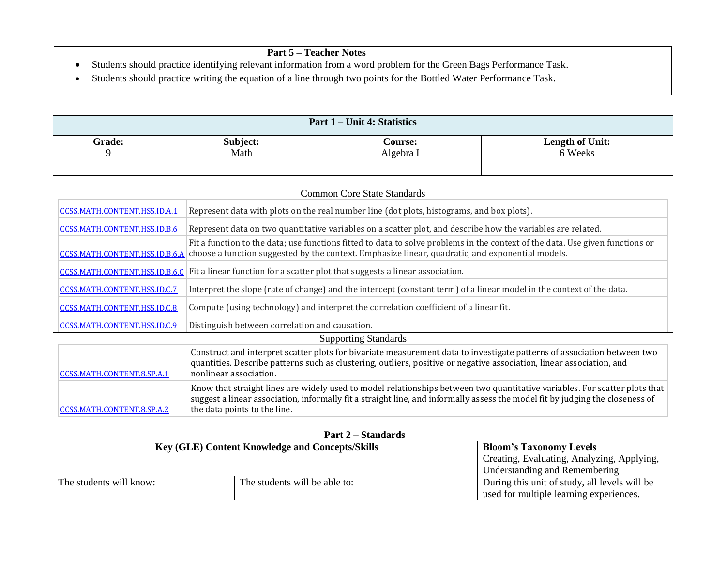- Students should practice identifying relevant information from a word problem for the Green Bags Performance Task.
- Students should practice writing the equation of a line through two points for the Bottled Water Performance Task.

| Part 1 – Unit 4: Statistics |                  |                             |                                   |  |
|-----------------------------|------------------|-----------------------------|-----------------------------------|--|
| <b>Grade:</b>               | Subject:<br>Math | <b>Course:</b><br>Algebra I | <b>Length of Unit:</b><br>6 Weeks |  |

| <b>Common Core State Standards</b> |                                                                                                                                                                                                                                                                                             |  |  |
|------------------------------------|---------------------------------------------------------------------------------------------------------------------------------------------------------------------------------------------------------------------------------------------------------------------------------------------|--|--|
| CCSS.MATH.CONTENT.HSS.ID.A.1       | Represent data with plots on the real number line (dot plots, histograms, and box plots).                                                                                                                                                                                                   |  |  |
| CCSS.MATH.CONTENT.HSS.ID.B.6       | Represent data on two quantitative variables on a scatter plot, and describe how the variables are related.                                                                                                                                                                                 |  |  |
|                                    | Fit a function to the data; use functions fitted to data to solve problems in the context of the data. Use given functions or<br>CCSS.MATH.CONTENT.HSS.ID.B.6.A choose a function suggested by the context. Emphasize linear, quadratic, and exponential models.                            |  |  |
| CCSS.MATH.CONTENT.HSS.ID.B.6.C     | Fit a linear function for a scatter plot that suggests a linear association.                                                                                                                                                                                                                |  |  |
| CCSS.MATH.CONTENT.HSS.ID.C.7       | Interpret the slope (rate of change) and the intercept (constant term) of a linear model in the context of the data.                                                                                                                                                                        |  |  |
| CCSS.MATH.CONTENT.HSS.ID.C.8       | Compute (using technology) and interpret the correlation coefficient of a linear fit.                                                                                                                                                                                                       |  |  |
| CCSS.MATH.CONTENT.HSS.ID.C.9       | Distinguish between correlation and causation.                                                                                                                                                                                                                                              |  |  |
| <b>Supporting Standards</b>        |                                                                                                                                                                                                                                                                                             |  |  |
| CCSS.MATH.CONTENT.8.SP.A.1         | Construct and interpret scatter plots for bivariate measurement data to investigate patterns of association between two<br>quantities. Describe patterns such as clustering, outliers, positive or negative association, linear association, and<br>nonlinear association.                  |  |  |
| CCSS.MATH.CONTENT.8.SP.A.2         | Know that straight lines are widely used to model relationships between two quantitative variables. For scatter plots that<br>suggest a linear association, informally fit a straight line, and informally assess the model fit by judging the closeness of<br>the data points to the line. |  |  |

|                                                        | <b>Part 2 – Standards</b>     |                                               |
|--------------------------------------------------------|-------------------------------|-----------------------------------------------|
| <b>Key (GLE) Content Knowledge and Concepts/Skills</b> |                               | <b>Bloom's Taxonomy Levels</b>                |
|                                                        |                               | Creating, Evaluating, Analyzing, Applying,    |
|                                                        |                               | Understanding and Remembering                 |
| The students will know:                                | The students will be able to: | During this unit of study, all levels will be |
|                                                        |                               | used for multiple learning experiences.       |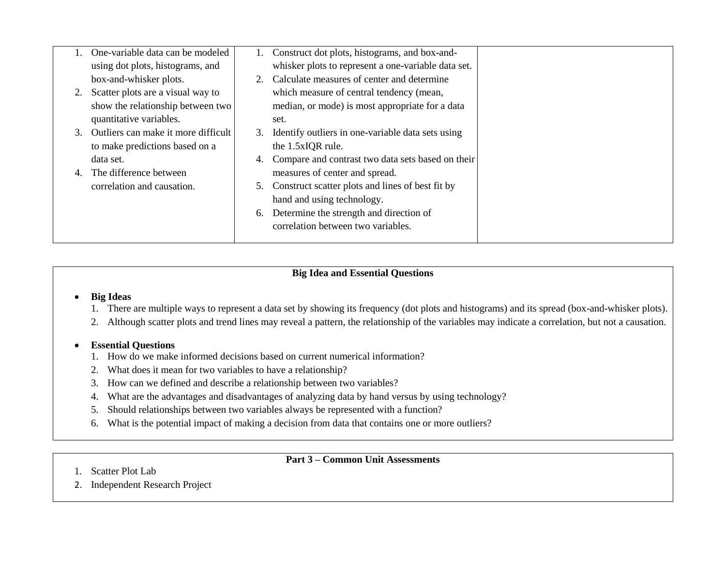| One-variable data can be modeled       |    | 1. Construct dot plots, histograms, and box-and-    |  |
|----------------------------------------|----|-----------------------------------------------------|--|
| using dot plots, histograms, and       |    | whisker plots to represent a one-variable data set. |  |
| box-and-whisker plots.                 |    | Calculate measures of center and determine          |  |
| 2. Scatter plots are a visual way to   |    | which measure of central tendency (mean,            |  |
| show the relationship between two      |    | median, or mode) is most appropriate for a data     |  |
| quantitative variables.                |    | set.                                                |  |
| 3. Outliers can make it more difficult | 3. | Identify outliers in one-variable data sets using   |  |
| to make predictions based on a         |    | the 1.5xIQR rule.                                   |  |
| data set.                              | 4. | Compare and contrast two data sets based on their   |  |
| The difference between                 |    | measures of center and spread.                      |  |
| correlation and causation.             | 5. | Construct scatter plots and lines of best fit by    |  |
|                                        |    | hand and using technology.                          |  |
|                                        | 6. | Determine the strength and direction of             |  |
|                                        |    | correlation between two variables.                  |  |
|                                        |    |                                                     |  |

#### **Big Ideas**

- 1. There are multiple ways to represent a data set by showing its frequency (dot plots and histograms) and its spread (box-and-whisker plots).
- 2. Although scatter plots and trend lines may reveal a pattern, the relationship of the variables may indicate a correlation, but not a causation.

#### **Essential Questions**

- 1. How do we make informed decisions based on current numerical information?
- 2. What does it mean for two variables to have a relationship?
- 3. How can we defined and describe a relationship between two variables?
- 4. What are the advantages and disadvantages of analyzing data by hand versus by using technology?
- 5. Should relationships between two variables always be represented with a function?
- 6. What is the potential impact of making a decision from data that contains one or more outliers?

# **Part 3 – Common Unit Assessments**

- 1. Scatter Plot Lab
- 2. Independent Research Project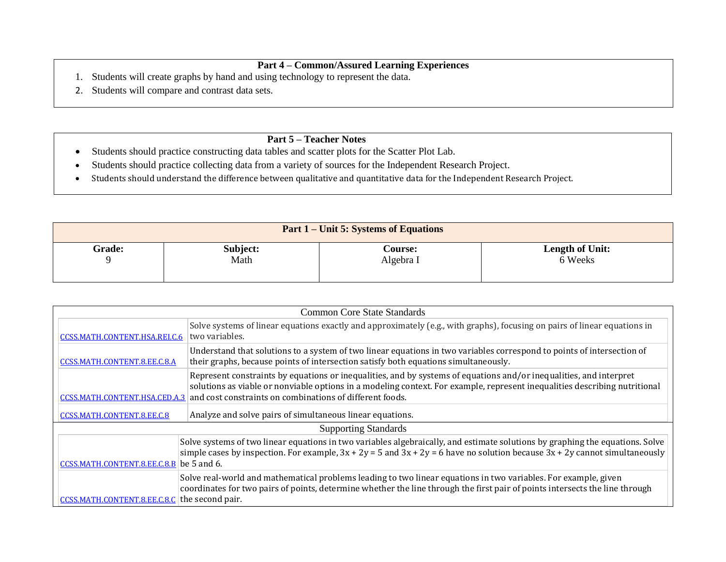## **Part 4 – Common/Assured Learning Experiences**

- 1. Students will create graphs by hand and using technology to represent the data.
- 2. Students will compare and contrast data sets.

- Students should practice constructing data tables and scatter plots for the Scatter Plot Lab.
- Students should practice collecting data from a variety of sources for the Independent Research Project.
- Students should understand the difference between qualitative and quantitative data for the Independent Research Project.

| <b>Part 1 – Unit 5: Systems of Equations</b> |          |                |                        |
|----------------------------------------------|----------|----------------|------------------------|
| <b>Grade:</b>                                | Subject: | <b>Course:</b> | <b>Length of Unit:</b> |
|                                              | Math     | Algebra I      | 6 Weeks                |

| <b>Common Core State Standards</b>            |                                                                                                                                                                                                                                                                                                              |  |
|-----------------------------------------------|--------------------------------------------------------------------------------------------------------------------------------------------------------------------------------------------------------------------------------------------------------------------------------------------------------------|--|
| CCSS.MATH.CONTENT.HSA.REI.C.6                 | Solve systems of linear equations exactly and approximately (e.g., with graphs), focusing on pairs of linear equations in<br>two variables.                                                                                                                                                                  |  |
| CCSS.MATH.CONTENT.8.EE.C.8.A                  | Understand that solutions to a system of two linear equations in two variables correspond to points of intersection of<br>their graphs, because points of intersection satisfy both equations simultaneously.                                                                                                |  |
| CCSS.MATH.CONTENT.HSA.CED.A.3                 | Represent constraints by equations or inequalities, and by systems of equations and/or inequalities, and interpret<br>solutions as viable or nonviable options in a modeling context. For example, represent inequalities describing nutritional<br>and cost constraints on combinations of different foods. |  |
| CCSS.MATH.CONTENT.8.EE.C.8                    | Analyze and solve pairs of simultaneous linear equations.                                                                                                                                                                                                                                                    |  |
|                                               | <b>Supporting Standards</b>                                                                                                                                                                                                                                                                                  |  |
| CCSS.MATH.CONTENT.8.EE.C.8.B be 5 and 6.      | Solve systems of two linear equations in two variables algebraically, and estimate solutions by graphing the equations. Solve<br>simple cases by inspection. For example, $3x + 2y = 5$ and $3x + 2y = 6$ have no solution because $3x + 2y$ cannot simultaneously                                           |  |
| CCSS.MATH.CONTENT.8.EE.C.8.C the second pair. | Solve real-world and mathematical problems leading to two linear equations in two variables. For example, given<br>coordinates for two pairs of points, determine whether the line through the first pair of points intersects the line through                                                              |  |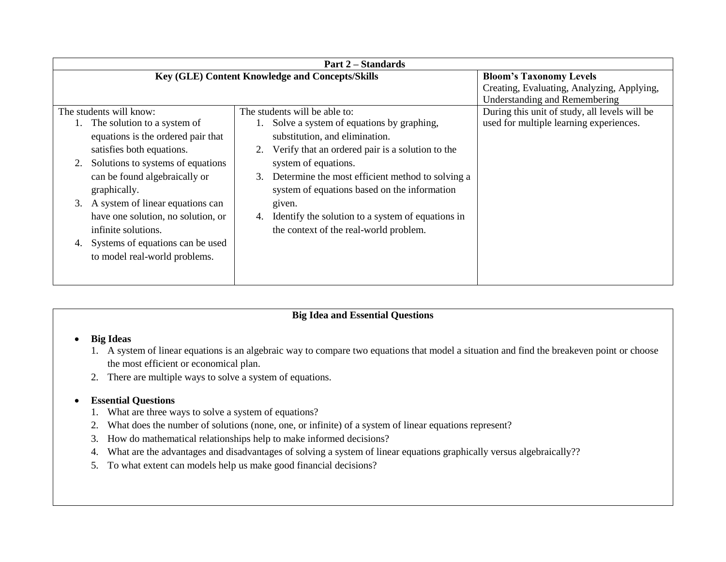| <b>Part 2 – Standards</b>                                                                                                                                                                                                                                                                                                                                                                   |                                                                                                                                                                                                                                                                                                                                                                                                                  |                                                                                          |  |  |
|---------------------------------------------------------------------------------------------------------------------------------------------------------------------------------------------------------------------------------------------------------------------------------------------------------------------------------------------------------------------------------------------|------------------------------------------------------------------------------------------------------------------------------------------------------------------------------------------------------------------------------------------------------------------------------------------------------------------------------------------------------------------------------------------------------------------|------------------------------------------------------------------------------------------|--|--|
| Key (GLE) Content Knowledge and Concepts/Skills<br><b>Bloom's Taxonomy Levels</b><br>Creating, Evaluating, Analyzing, Applying,<br><b>Understanding and Remembering</b>                                                                                                                                                                                                                     |                                                                                                                                                                                                                                                                                                                                                                                                                  |                                                                                          |  |  |
| The students will know:<br>1. The solution to a system of<br>equations is the ordered pair that<br>satisfies both equations.<br>Solutions to systems of equations<br>can be found algebraically or<br>graphically.<br>3. A system of linear equations can<br>have one solution, no solution, or<br>infinite solutions.<br>Systems of equations can be used<br>to model real-world problems. | The students will be able to:<br>Solve a system of equations by graphing,<br>substitution, and elimination.<br>Verify that an ordered pair is a solution to the<br>system of equations.<br>Determine the most efficient method to solving a<br>3.<br>system of equations based on the information<br>given.<br>Identify the solution to a system of equations in<br>4.<br>the context of the real-world problem. | During this unit of study, all levels will be<br>used for multiple learning experiences. |  |  |

#### **Big Ideas**

- 1. A system of linear equations is an algebraic way to compare two equations that model a situation and find the breakeven point or choose the most efficient or economical plan.
- 2. There are multiple ways to solve a system of equations.

# **Essential Questions**

- 1. What are three ways to solve a system of equations?
- 2. What does the number of solutions (none, one, or infinite) of a system of linear equations represent?
- 3. How do mathematical relationships help to make informed decisions?
- 4. What are the advantages and disadvantages of solving a system of linear equations graphically versus algebraically??
- 5. To what extent can models help us make good financial decisions?